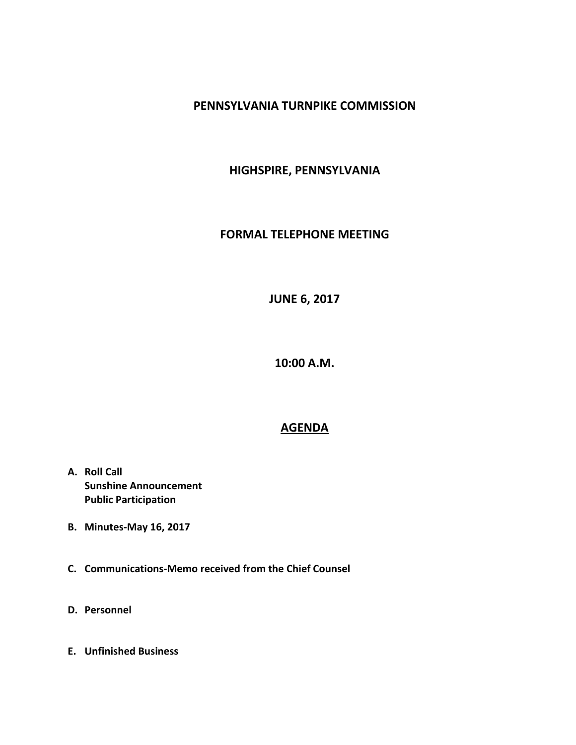## **PENNSYLVANIA TURNPIKE COMMISSION**

## **HIGHSPIRE, PENNSYLVANIA**

## **FORMAL TELEPHONE MEETING**

**JUNE 6, 2017**

**10:00 A.M.**

## **AGENDA**

- **A. Roll Call Sunshine Announcement Public Participation**
- **B. Minutes-May 16, 2017**
- **C. Communications-Memo received from the Chief Counsel**
- **D. Personnel**
- **E. Unfinished Business**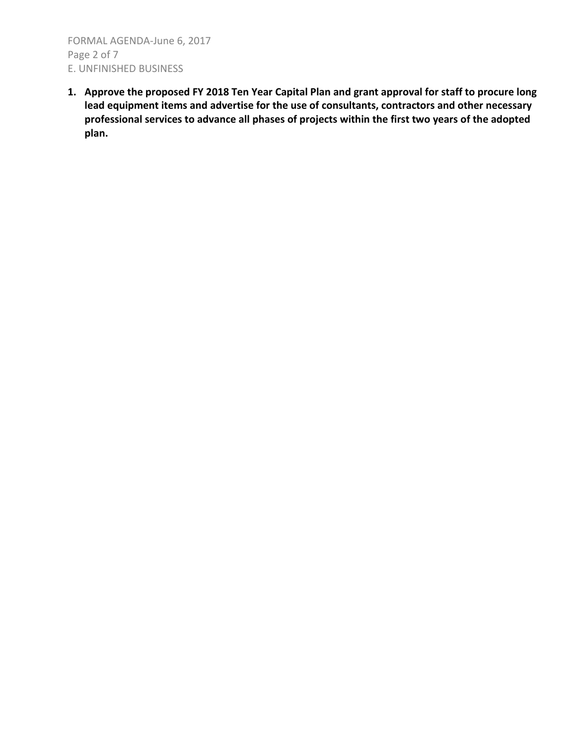FORMAL AGENDA-June 6, 2017 Page 2 of 7 E. UNFINISHED BUSINESS

**1. Approve the proposed FY 2018 Ten Year Capital Plan and grant approval for staff to procure long lead equipment items and advertise for the use of consultants, contractors and other necessary professional services to advance all phases of projects within the first two years of the adopted plan.**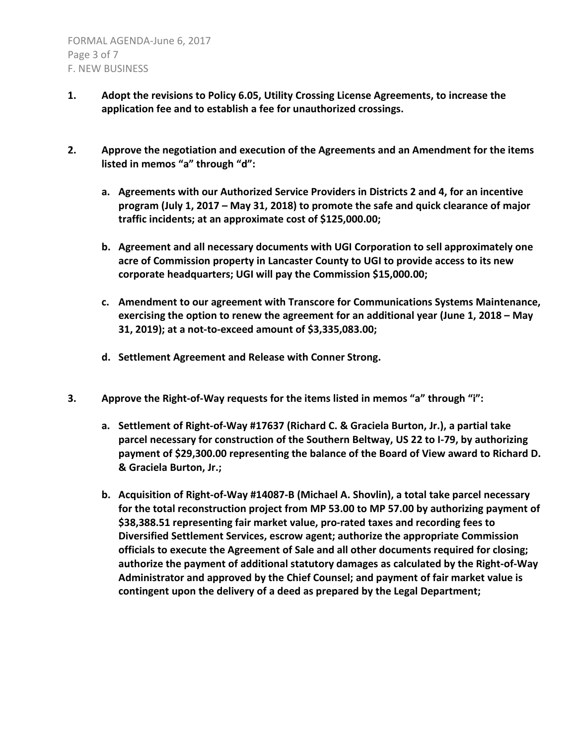- **1. Adopt the revisions to Policy 6.05, Utility Crossing License Agreements, to increase the application fee and to establish a fee for unauthorized crossings.**
- **2. Approve the negotiation and execution of the Agreements and an Amendment for the items listed in memos "a" through "d":**
	- **a. Agreements with our Authorized Service Providers in Districts 2 and 4, for an incentive program (July 1, 2017 – May 31, 2018) to promote the safe and quick clearance of major traffic incidents; at an approximate cost of \$125,000.00;**
	- **b. Agreement and all necessary documents with UGI Corporation to sell approximately one acre of Commission property in Lancaster County to UGI to provide access to its new corporate headquarters; UGI will pay the Commission \$15,000.00;**
	- **c. Amendment to our agreement with Transcore for Communications Systems Maintenance, exercising the option to renew the agreement for an additional year (June 1, 2018 – May 31, 2019); at a not-to-exceed amount of \$3,335,083.00;**
	- **d. Settlement Agreement and Release with Conner Strong.**
- **3. Approve the Right-of-Way requests for the items listed in memos "a" through "i":**
	- **a. Settlement of Right-of-Way #17637 (Richard C. & Graciela Burton, Jr.), a partial take parcel necessary for construction of the Southern Beltway, US 22 to I-79, by authorizing payment of \$29,300.00 representing the balance of the Board of View award to Richard D. & Graciela Burton, Jr.;**
	- **b. Acquisition of Right-of-Way #14087-B (Michael A. Shovlin), a total take parcel necessary for the total reconstruction project from MP 53.00 to MP 57.00 by authorizing payment of \$38,388.51 representing fair market value, pro-rated taxes and recording fees to Diversified Settlement Services, escrow agent; authorize the appropriate Commission officials to execute the Agreement of Sale and all other documents required for closing; authorize the payment of additional statutory damages as calculated by the Right-of-Way Administrator and approved by the Chief Counsel; and payment of fair market value is contingent upon the delivery of a deed as prepared by the Legal Department;**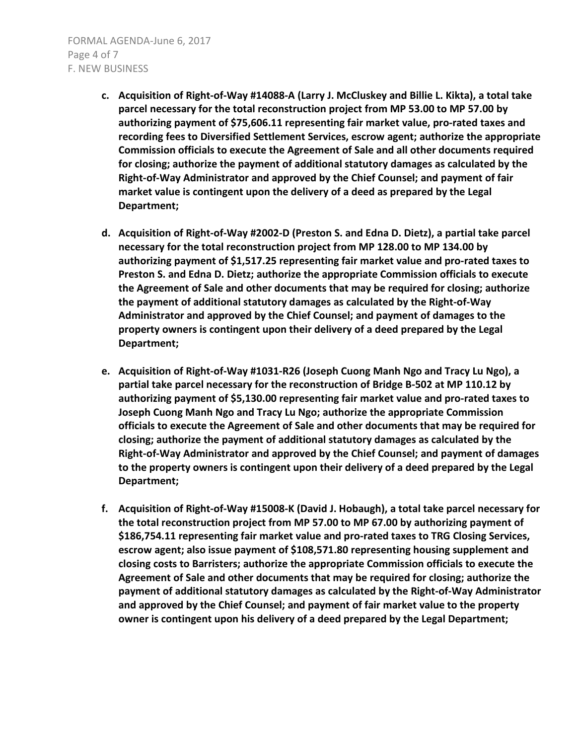- **c. Acquisition of Right-of-Way #14088-A (Larry J. McCluskey and Billie L. Kikta), a total take parcel necessary for the total reconstruction project from MP 53.00 to MP 57.00 by authorizing payment of \$75,606.11 representing fair market value, pro-rated taxes and recording fees to Diversified Settlement Services, escrow agent; authorize the appropriate Commission officials to execute the Agreement of Sale and all other documents required for closing; authorize the payment of additional statutory damages as calculated by the Right-of-Way Administrator and approved by the Chief Counsel; and payment of fair market value is contingent upon the delivery of a deed as prepared by the Legal Department;**
- **d. Acquisition of Right-of-Way #2002-D (Preston S. and Edna D. Dietz), a partial take parcel necessary for the total reconstruction project from MP 128.00 to MP 134.00 by authorizing payment of \$1,517.25 representing fair market value and pro-rated taxes to Preston S. and Edna D. Dietz; authorize the appropriate Commission officials to execute the Agreement of Sale and other documents that may be required for closing; authorize the payment of additional statutory damages as calculated by the Right-of-Way Administrator and approved by the Chief Counsel; and payment of damages to the property owners is contingent upon their delivery of a deed prepared by the Legal Department;**
- **e. Acquisition of Right-of-Way #1031-R26 (Joseph Cuong Manh Ngo and Tracy Lu Ngo), a partial take parcel necessary for the reconstruction of Bridge B-502 at MP 110.12 by authorizing payment of \$5,130.00 representing fair market value and pro-rated taxes to Joseph Cuong Manh Ngo and Tracy Lu Ngo; authorize the appropriate Commission officials to execute the Agreement of Sale and other documents that may be required for closing; authorize the payment of additional statutory damages as calculated by the Right-of-Way Administrator and approved by the Chief Counsel; and payment of damages to the property owners is contingent upon their delivery of a deed prepared by the Legal Department;**
- **f. Acquisition of Right-of-Way #15008-K (David J. Hobaugh), a total take parcel necessary for the total reconstruction project from MP 57.00 to MP 67.00 by authorizing payment of \$186,754.11 representing fair market value and pro-rated taxes to TRG Closing Services, escrow agent; also issue payment of \$108,571.80 representing housing supplement and closing costs to Barristers; authorize the appropriate Commission officials to execute the Agreement of Sale and other documents that may be required for closing; authorize the payment of additional statutory damages as calculated by the Right-of-Way Administrator and approved by the Chief Counsel; and payment of fair market value to the property owner is contingent upon his delivery of a deed prepared by the Legal Department;**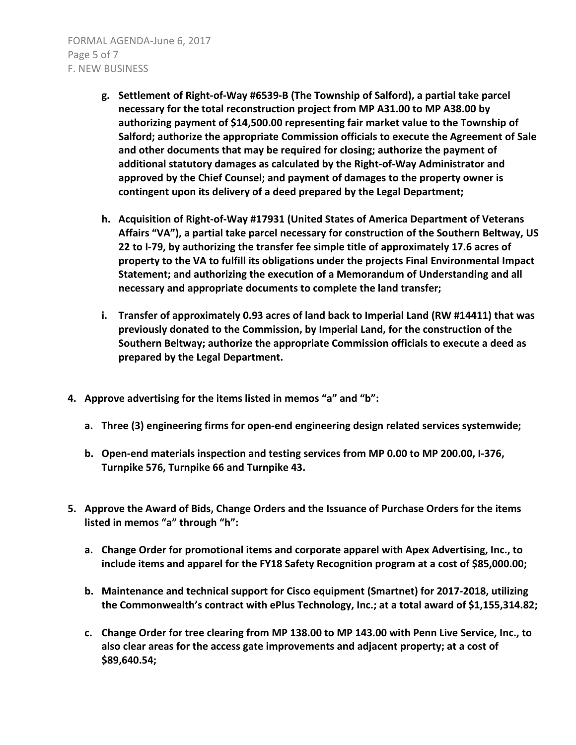FORMAL AGENDA-June 6, 2017 Page 5 of 7 F. NEW BUSINESS

- **g. Settlement of Right-of-Way #6539-B (The Township of Salford), a partial take parcel necessary for the total reconstruction project from MP A31.00 to MP A38.00 by authorizing payment of \$14,500.00 representing fair market value to the Township of Salford; authorize the appropriate Commission officials to execute the Agreement of Sale and other documents that may be required for closing; authorize the payment of additional statutory damages as calculated by the Right-of-Way Administrator and approved by the Chief Counsel; and payment of damages to the property owner is contingent upon its delivery of a deed prepared by the Legal Department;**
- **h. Acquisition of Right-of-Way #17931 (United States of America Department of Veterans Affairs "VA"), a partial take parcel necessary for construction of the Southern Beltway, US 22 to I-79, by authorizing the transfer fee simple title of approximately 17.6 acres of property to the VA to fulfill its obligations under the projects Final Environmental Impact Statement; and authorizing the execution of a Memorandum of Understanding and all necessary and appropriate documents to complete the land transfer;**
- **i. Transfer of approximately 0.93 acres of land back to Imperial Land (RW #14411) that was previously donated to the Commission, by Imperial Land, for the construction of the Southern Beltway; authorize the appropriate Commission officials to execute a deed as prepared by the Legal Department.**
- **4. Approve advertising for the items listed in memos "a" and "b":**
	- **a. Three (3) engineering firms for open-end engineering design related services systemwide;**
	- **b. Open-end materials inspection and testing services from MP 0.00 to MP 200.00, I-376, Turnpike 576, Turnpike 66 and Turnpike 43.**
- **5. Approve the Award of Bids, Change Orders and the Issuance of Purchase Orders for the items listed in memos "a" through "h":**
	- **a. Change Order for promotional items and corporate apparel with Apex Advertising, Inc., to include items and apparel for the FY18 Safety Recognition program at a cost of \$85,000.00;**
	- **b. Maintenance and technical support for Cisco equipment (Smartnet) for 2017-2018, utilizing the Commonwealth's contract with ePlus Technology, Inc.; at a total award of \$1,155,314.82;**
	- **c. Change Order for tree clearing from MP 138.00 to MP 143.00 with Penn Live Service, Inc., to also clear areas for the access gate improvements and adjacent property; at a cost of \$89,640.54;**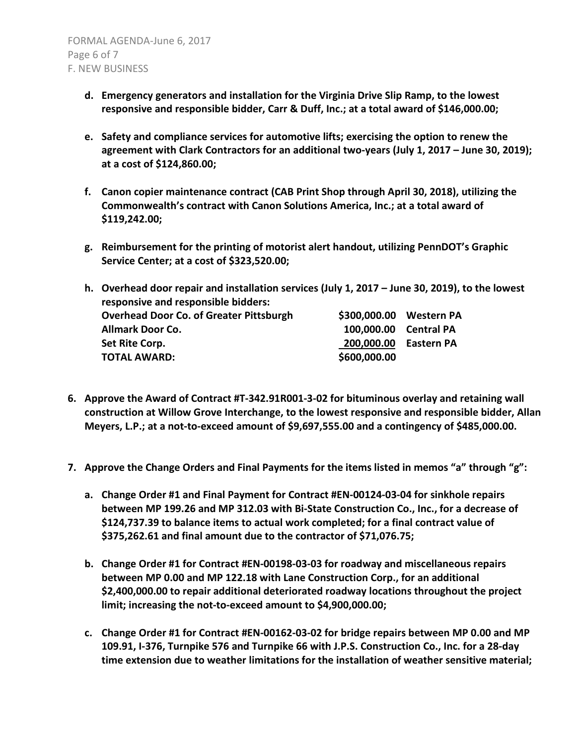- **d. Emergency generators and installation for the Virginia Drive Slip Ramp, to the lowest responsive and responsible bidder, Carr & Duff, Inc.; at a total award of \$146,000.00;**
- **e. Safety and compliance services for automotive lifts; exercising the option to renew the agreement with Clark Contractors for an additional two-years (July 1, 2017 – June 30, 2019); at a cost of \$124,860.00;**
- **f. Canon copier maintenance contract (CAB Print Shop through April 30, 2018), utilizing the Commonwealth's contract with Canon Solutions America, Inc.; at a total award of \$119,242.00;**
- **g. Reimbursement for the printing of motorist alert handout, utilizing PennDOT's Graphic Service Center; at a cost of \$323,520.00;**
- **h. Overhead door repair and installation services (July 1, 2017 – June 30, 2019), to the lowest responsive and responsible bidders: Overhead Door Co. of Greater Pittsburgh \$300,000.00 Western PA Allmark Door Co. 100,000.00 Central PA Set Rite Corp. 200,000.00 Eastern PA TOTAL AWARD: \$600,000.00**
- **6. Approve the Award of Contract #T-342.91R001-3-02 for bituminous overlay and retaining wall construction at Willow Grove Interchange, to the lowest responsive and responsible bidder, Allan Meyers, L.P.; at a not-to-exceed amount of \$9,697,555.00 and a contingency of \$485,000.00.**
- **7. Approve the Change Orders and Final Payments for the items listed in memos "a" through "g":**
	- **a. Change Order #1 and Final Payment for Contract #EN-00124-03-04 for sinkhole repairs between MP 199.26 and MP 312.03 with Bi-State Construction Co., Inc., for a decrease of \$124,737.39 to balance items to actual work completed; for a final contract value of \$375,262.61 and final amount due to the contractor of \$71,076.75;**
	- **b. Change Order #1 for Contract #EN-00198-03-03 for roadway and miscellaneous repairs between MP 0.00 and MP 122.18 with Lane Construction Corp., for an additional \$2,400,000.00 to repair additional deteriorated roadway locations throughout the project limit; increasing the not-to-exceed amount to \$4,900,000.00;**
	- **c. Change Order #1 for Contract #EN-00162-03-02 for bridge repairs between MP 0.00 and MP 109.91, I-376, Turnpike 576 and Turnpike 66 with J.P.S. Construction Co., Inc. for a 28-day time extension due to weather limitations for the installation of weather sensitive material;**